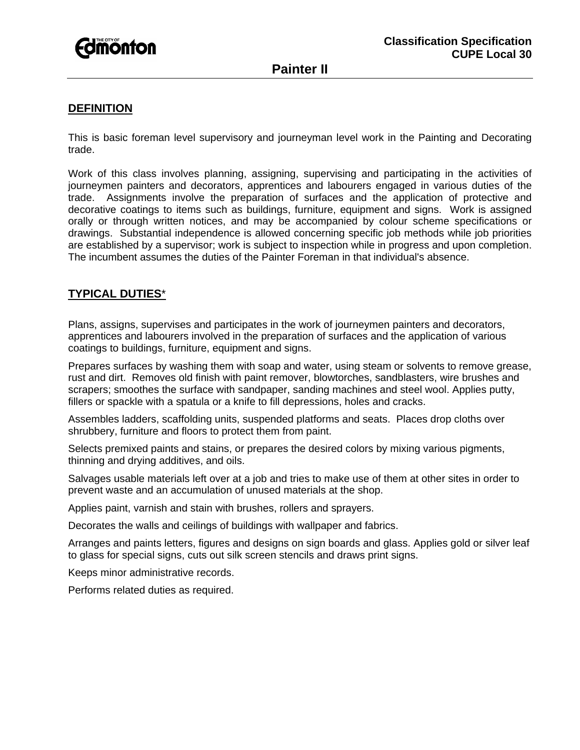

# **Painter II**

## **DEFINITION**

This is basic foreman level supervisory and journeyman level work in the Painting and Decorating trade.

Work of this class involves planning, assigning, supervising and participating in the activities of journeymen painters and decorators, apprentices and labourers engaged in various duties of the trade. Assignments involve the preparation of surfaces and the application of protective and decorative coatings to items such as buildings, furniture, equipment and signs. Work is assigned orally or through written notices, and may be accompanied by colour scheme specifications or drawings. Substantial independence is allowed concerning specific job methods while job priorities are established by a supervisor; work is subject to inspection while in progress and upon completion. The incumbent assumes the duties of the Painter Foreman in that individual's absence.

### **TYPICAL DUTIES**\*

Plans, assigns, supervises and participates in the work of journeymen painters and decorators, apprentices and labourers involved in the preparation of surfaces and the application of various coatings to buildings, furniture, equipment and signs.

Prepares surfaces by washing them with soap and water, using steam or solvents to remove grease, rust and dirt. Removes old finish with paint remover, blowtorches, sandblasters, wire brushes and scrapers; smoothes the surface with sandpaper, sanding machines and steel wool. Applies putty, fillers or spackle with a spatula or a knife to fill depressions, holes and cracks.

Assembles ladders, scaffolding units, suspended platforms and seats. Places drop cloths over shrubbery, furniture and floors to protect them from paint.

Selects premixed paints and stains, or prepares the desired colors by mixing various pigments, thinning and drying additives, and oils.

Salvages usable materials left over at a job and tries to make use of them at other sites in order to prevent waste and an accumulation of unused materials at the shop.

Applies paint, varnish and stain with brushes, rollers and sprayers.

Decorates the walls and ceilings of buildings with wallpaper and fabrics.

Arranges and paints letters, figures and designs on sign boards and glass. Applies gold or silver leaf to glass for special signs, cuts out silk screen stencils and draws print signs.

Keeps minor administrative records.

Performs related duties as required.